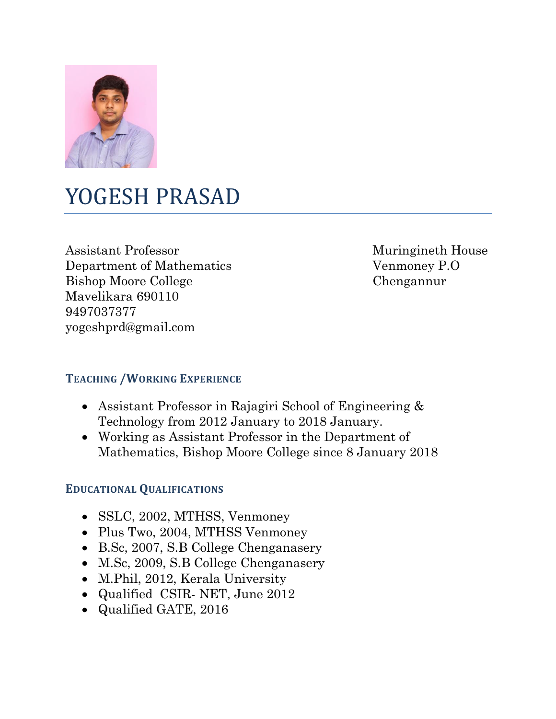

# YOGESH PRASAD

Assistant Professor Department of Mathematics Bishop Moore College Mavelikara 690110 9497037377 yogeshprd@gmail.com

Muringineth House Venmoney P.O Chengannur

# **TEACHING /WORKING EXPERIENCE**

- Assistant Professor in Rajagiri School of Engineering & Technology from 2012 January to 2018 January.
- Working as Assistant Professor in the Department of Mathematics, Bishop Moore College since 8 January 2018

#### **EDUCATIONAL QUALIFICATIONS**

- SSLC, 2002, MTHSS, Venmoney
- Plus Two, 2004, MTHSS Venmoney
- B.Sc, 2007, S.B College Chenganasery
- M.Sc, 2009, S.B College Chenganasery
- M.Phil, 2012, Kerala University
- Qualified CSIR- NET, June 2012
- Qualified GATE, 2016